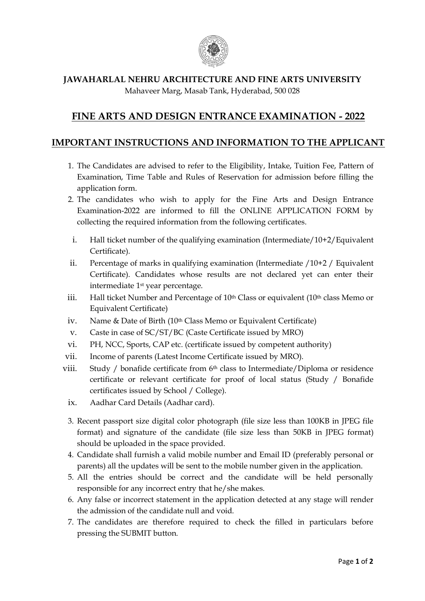

## **JAWAHARLAL NEHRU ARCHITECTURE AND FINE ARTS UNIVERSITY** Mahaveer Marg, Masab Tank, Hyderabad, 500 028

## **FINE ARTS AND DESIGN ENTRANCE EXAMINATION - 2022**

## **IMPORTANT INSTRUCTIONS AND INFORMATION TO THE APPLICANT**

- 1. The Candidates are advised to refer to the Eligibility, Intake, Tuition Fee, Pattern of Examination, Time Table and Rules of Reservation for admission before filling the application form.
- 2. The candidates who wish to apply for the Fine Arts and Design Entrance Examination-2022 are informed to fill the ONLINE APPLICATION FORM by collecting the required information from the following certificates.
- i. Hall ticket number of the qualifying examination (Intermediate/10+2/Equivalent Certificate).
- ii. Percentage of marks in qualifying examination (Intermediate /10+2 / Equivalent Certificate). Candidates whose results are not declared yet can enter their intermediate 1st year percentage.
- iii. Hall ticket Number and Percentage of  $10<sup>th</sup>$  Class or equivalent ( $10<sup>th</sup>$  class Memo or Equivalent Certificate)
- iv. Name & Date of Birth (10<sup>th</sup> Class Memo or Equivalent Certificate)
- v. Caste in case of SC/ST/BC (Caste Certificate issued by MRO)
- vi. PH, NCC, Sports, CAP etc. (certificate issued by competent authority)
- vii. Income of parents (Latest Income Certificate issued by MRO).
- viii. Study / bonafide certificate from 6th class to Intermediate/Diploma or residence certificate or relevant certificate for proof of local status (Study / Bonafide certificates issued by School / College).
	- ix. Aadhar Card Details (Aadhar card).
	- 3. Recent passport size digital color photograph (file size less than 100KB in JPEG file format) and signature of the candidate (file size less than 50KB in JPEG format) should be uploaded in the space provided.
	- 4. Candidate shall furnish a valid mobile number and Email ID (preferably personal or parents) all the updates will be sent to the mobile number given in the application.
	- 5. All the entries should be correct and the candidate will be held personally responsible for any incorrect entry that he/she makes.
	- 6. Any false or incorrect statement in the application detected at any stage will render the admission of the candidate null and void.
	- 7. The candidates are therefore required to check the filled in particulars before pressing the SUBMIT button.